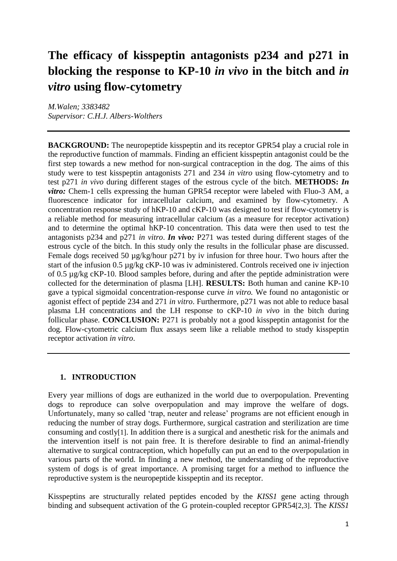# **The efficacy of kisspeptin antagonists p234 and p271 in blocking the response to KP-10** *in vivo* **in the bitch and** *in vitro* **using flow-cytometry**

*M.Walen; 3383482 Supervisor: C.H.J. Albers-Wolthers* 

**BACKGROUND:** The neuropeptide kisspeptin and its receptor GPR54 play a crucial role in the reproductive function of mammals. Finding an efficient kisspeptin antagonist could be the first step towards a new method for non-surgical contraception in the dog. The aims of this study were to test kisspeptin antagonists 271 and 234 *in vitro* using flow-cytometry and to test p271 *in vivo* during different stages of the estrous cycle of the bitch. **METHODS:** *In vitro:* Chem-1 cells expressing the human GPR54 receptor were labeled with Fluo-3 AM, a fluorescence indicator for intracellular calcium, and examined by flow-cytometry. A concentration response study of hKP-10 and cKP-10 was designed to test if flow-cytometry is a reliable method for measuring intracellular calcium (as a measure for receptor activation) and to determine the optimal hKP-10 concentration. This data were then used to test the antagonists p234 and p271 *in vitro*. *In vivo:* P271 was tested during different stages of the estrous cycle of the bitch. In this study only the results in the follicular phase are discussed. Female dogs received 50 µg/kg/hour p271 by iv infusion for three hour. Two hours after the start of the infusion 0.5 µg/kg cKP-10 was iv administered. Controls received one iv injection of 0.5 µg/kg cKP-10. Blood samples before, during and after the peptide administration were collected for the determination of plasma [LH]. **RESULTS:** Both human and canine KP-10 gave a typical sigmoidal concentration-response curve *in vitro.* We found no antagonistic or agonist effect of peptide 234 and 271 *in vitro*. Furthermore, p271 was not able to reduce basal plasma LH concentrations and the LH response to cKP-10 *in vivo* in the bitch during follicular phase. **CONCLUSION:** P271 is probably not a good kisspeptin antagonist for the dog. Flow-cytometric calcium flux assays seem like a reliable method to study kisspeptin receptor activation *in vitro*.

# **1. INTRODUCTION**

Every year millions of dogs are euthanized in the world due to overpopulation. Preventing dogs to reproduce can solve overpopulation and may improve the welfare of dogs. Unfortunately, many so called 'trap, neuter and release' programs are not efficient enough in reducing the number of stray dogs. Furthermore, surgical castration and sterilization are time consuming and costly[1]. In addition there is a surgical and anesthetic risk for the animals and the intervention itself is not pain free. It is therefore desirable to find an animal-friendly alternative to surgical contraception, which hopefully can put an end to the overpopulation in various parts of the world. In finding a new method, the understanding of the reproductive system of dogs is of great importance. A promising target for a method to influence the reproductive system is the neuropeptide kisspeptin and its receptor.

Kisspeptins are structurally related peptides encoded by the *KISS1* gene acting through binding and subsequent activation of the G protein-coupled receptor GPR54[2,3]. The *KISS1*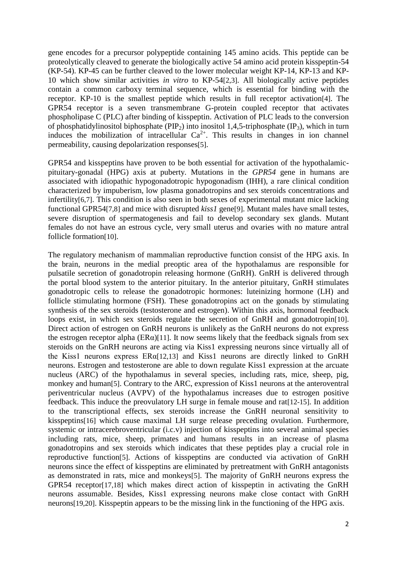gene encodes for a precursor polypeptide containing 145 amino acids. This peptide can be proteolytically cleaved to generate the biologically active 54 amino acid protein kisspeptin-54 (KP-54). KP-45 can be further cleaved to the lower molecular weight KP-14, KP-13 and KP-10 which show similar activities *in vitro* to KP-54[2,3]. All biologically active peptides contain a common carboxy terminal sequence, which is essential for binding with the receptor. KP-10 is the smallest peptide which results in full receptor activation[4]. The GPR54 receptor is a seven transmembrane G-protein coupled receptor that activates phospholipase C (PLC) after binding of kisspeptin. Activation of PLC leads to the conversion of phosphatidylinositol biphosphate (PIP<sub>2</sub>) into inositol 1,4,5-triphosphate (IP<sub>3</sub>), which in turn induces the mobilization of intracellular  $Ca^{2+}$ . This results in changes in ion channel permeability, causing depolarization responses[5].

GPR54 and kisspeptins have proven to be both essential for activation of the hypothalamicpituitary-gonadal (HPG) axis at puberty. Mutations in the *GPR54* gene in humans are associated with idiopathic hypogonadotropic hypogonadism (IHH), a rare clinical condition characterized by impuberism, low plasma gonadotropins and sex steroids concentrations and infertility[6,7]. This condition is also seen in both sexes of experimental mutant mice lacking functional GPR54[7,8] and mice with disrupted *kiss1* gene[9]. Mutant males have small testes, severe disruption of spermatogenesis and fail to develop secondary sex glands. Mutant females do not have an estrous cycle, very small uterus and ovaries with no mature antral follicle formation[10].

The regulatory mechanism of mammalian reproductive function consist of the HPG axis. In the brain, neurons in the medial preoptic area of the hypothalamus are responsible for pulsatile secretion of gonadotropin releasing hormone (GnRH). GnRH is delivered through the portal blood system to the anterior pituitary. In the anterior pituitary, GnRH stimulates gonadotropic cells to release the gonadotropic hormones: luteinizing hormone (LH) and follicle stimulating hormone (FSH). These gonadotropins act on the gonads by stimulating synthesis of the sex steroids (testosterone and estrogen). Within this axis, hormonal feedback loops exist, in which sex steroids regulate the secretion of GnRH and gonadotropin[10]. Direct action of estrogen on GnRH neurons is unlikely as the GnRH neurons do not express the estrogen receptor alpha ( $ER\alpha$ )[11]. It now seems likely that the feedback signals from sex steroids on the GnRH neurons are acting via Kiss1 expressing neurons since virtually all of the Kiss1 neurons express ERα[12,13] and Kiss1 neurons are directly linked to GnRH neurons. Estrogen and testosterone are able to down regulate Kiss1 expression at the arcuate nucleus (ARC) of the hypothalamus in several species, including rats, mice, sheep, pig, monkey and human<sup>[5]</sup>. Contrary to the ARC, expression of Kiss1 neurons at the anteroventral periventricular nucleus (AVPV) of the hypothalamus increases due to estrogen positive feedback. This induce the preovulatory LH surge in female mouse and rat[12-15]. In addition to the transcriptional effects, sex steroids increase the GnRH neuronal sensitivity to kisspeptins[16] which cause maximal LH surge release preceding ovulation. Furthermore, systemic or intracerebroventricular (i.c.v) injection of kisspeptins into several animal species including rats, mice, sheep, primates and humans results in an increase of plasma gonadotropins and sex steroids which indicates that these peptides play a crucial role in reproductive function[5]. Actions of kisspeptins are conducted via activation of GnRH neurons since the effect of kisspeptins are eliminated by pretreatment with GnRH antagonists as demonstrated in rats, mice and monkeys[5]. The majority of GnRH neurons express the GPR54 receptor[17,18] which makes direct action of kisspeptin in activating the GnRH neurons assumable. Besides, Kiss1 expressing neurons make close contact with GnRH neurons[19,20]. Kisspeptin appears to be the missing link in the functioning of the HPG axis.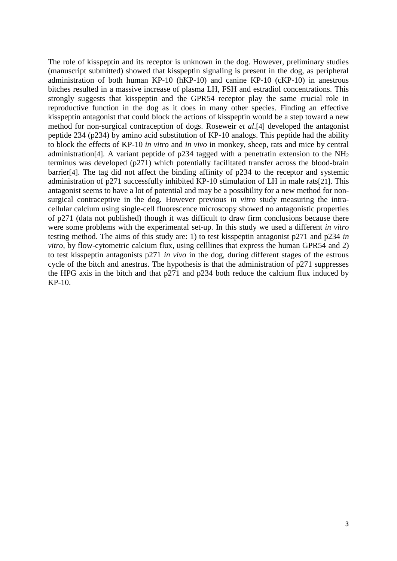The role of kisspeptin and its receptor is unknown in the dog. However, preliminary studies (manuscript submitted) showed that kisspeptin signaling is present in the dog, as peripheral administration of both human KP-10 (hKP-10) and canine KP-10 (cKP-10) in anestrous bitches resulted in a massive increase of plasma LH, FSH and estradiol concentrations. This strongly suggests that kisspeptin and the GPR54 receptor play the same crucial role in reproductive function in the dog as it does in many other species. Finding an effective kisspeptin antagonist that could block the actions of kisspeptin would be a step toward a new method for non-surgical contraception of dogs. Roseweir *et al*.[4] developed the antagonist peptide 234 (p234) by amino acid substitution of KP-10 analogs. This peptide had the ability to block the effects of KP-10 *in vitro* and *in vivo* in monkey, sheep, rats and mice by central administration<sup>[4]</sup>. A variant peptide of p234 tagged with a penetratin extension to the  $NH<sub>2</sub>$ terminus was developed (p271) which potentially facilitated transfer across the blood-brain barrier[4]. The tag did not affect the binding affinity of p234 to the receptor and systemic administration of p271 successfully inhibited KP-10 stimulation of LH in male rats[21]. This antagonist seems to have a lot of potential and may be a possibility for a new method for nonsurgical contraceptive in the dog. However previous *in vitro* study measuring the intracellular calcium using single-cell fluorescence microscopy showed no antagonistic properties of p271 (data not published) though it was difficult to draw firm conclusions because there were some problems with the experimental set-up. In this study we used a different *in vitro*  testing method. The aims of this study are: 1) to test kisspeptin antagonist p271 and p234 *in vitro*, by flow-cytometric calcium flux, using celllines that express the human GPR54 and 2) to test kisspeptin antagonists p271 *in vivo* in the dog, during different stages of the estrous cycle of the bitch and anestrus. The hypothesis is that the administration of p271 suppresses the HPG axis in the bitch and that p271 and p234 both reduce the calcium flux induced by KP-10.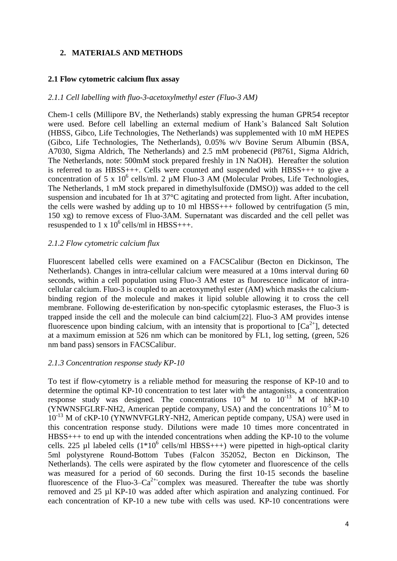# **2. MATERIALS AND METHODS**

#### **2.1 Flow cytometric calcium flux assay**

#### *2.1.1 Cell labelling with fluo-3-acetoxylmethyl ester (Fluo-3 AM)*

Chem-1 cells (Millipore BV, the Netherlands) stably expressing the human GPR54 receptor were used. Before cell labelling an external medium of Hank's Balanced Salt Solution (HBSS, Gibco, Life Technologies, The Netherlands) was supplemented with 10 mM HEPES (Gibco, Life Technologies, The Netherlands), 0.05% w/v Bovine Serum Albumin (BSA, A7030, Sigma Aldrich, The Netherlands) and 2.5 mM probenecid (P8761, Sigma Aldrich, The Netherlands, note: 500mM stock prepared freshly in 1N NaOH). Hereafter the solution is referred to as HBSS+++. Cells were counted and suspended with HBSS+++ to give a concentration of 5 x  $10^6$  cells/ml. 2  $\mu$ M Fluo-3 AM (Molecular Probes, Life Technologies, The Netherlands, 1 mM stock prepared in dimethylsulfoxide (DMSO)) was added to the cell suspension and incubated for 1h at 37°C agitating and protected from light. After incubation, the cells were washed by adding up to 10 ml  $H BSS++$  followed by centrifugation (5 min, 150 xg) to remove excess of Fluo-3AM. Supernatant was discarded and the cell pellet was resuspended to 1 x  $10^6$  cells/ml in HBSS+++.

#### *2.1.2 Flow cytometric calcium flux*

Fluorescent labelled cells were examined on a FACSCalibur (Becton en Dickinson, The Netherlands). Changes in intra-cellular calcium were measured at a 10ms interval during 60 seconds, within a cell population using Fluo-3 AM ester as fluorescence indicator of intracellular calcium. Fluo-3 is coupled to an acetoxymethyl ester (AM) which masks the calciumbinding region of the molecule and makes it lipid soluble allowing it to cross the cell membrane. Following de-esterification by non-specific cytoplasmic esterases, the Fluo-3 is trapped inside the cell and the molecule can bind calcium[22]. Fluo-3 AM provides intense fluorescence upon binding calcium, with an intensity that is proportional to  ${[Ca}^{2+}]$ , detected at a maximum emission at 526 nm which can be monitored by FL1, log setting, (green, 526 nm band pass) sensors in FACSCalibur.

#### *2.1.3 Concentration response study KP-10*

To test if flow-cytometry is a reliable method for measuring the response of KP-10 and to determine the optimal KP-10 concentration to test later with the antagonists, a concentration response study was designed. The concentrations  $10^{-6}$  M to  $10^{-13}$  M of hKP-10 (YNWNSFGLRF-NH2, American peptide company, USA) and the concentrations  $10^{-5}$  M to 10<sup>-13</sup> M of cKP-10 (YNWNVFGLRY-NH2, American peptide company, USA) were used in this concentration response study. Dilutions were made 10 times more concentrated in HBSS+++ to end up with the intended concentrations when adding the KP-10 to the volume cells. 225 µl labeled cells  $(1*10^6 \text{ cells/ml HBSS+++})$  were pipetted in high-optical clarity 5ml polystyrene Round-Bottom Tubes (Falcon 352052, Becton en Dickinson, The Netherlands). The cells were aspirated by the flow cytometer and fluorescence of the cells was measured for a period of 60 seconds. During the first 10-15 seconds the baseline fluorescence of the Fluo-3– $Ca^{2+}$ complex was measured. Thereafter the tube was shortly removed and 25 µl KP-10 was added after which aspiration and analyzing continued. For each concentration of KP-10 a new tube with cells was used. KP-10 concentrations were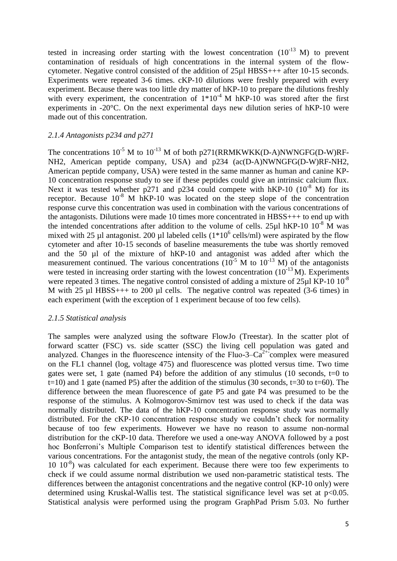tested in increasing order starting with the lowest concentration  $(10^{-13}$  M) to prevent contamination of residuals of high concentrations in the internal system of the flowcytometer. Negative control consisted of the addition of 25µl HBSS+++ after 10-15 seconds. Experiments were repeated 3-6 times. cKP-10 dilutions were freshly prepared with every experiment. Because there was too little dry matter of hKP-10 to prepare the dilutions freshly with every experiment, the concentration of  $1*10^{-4}$  M hKP-10 was stored after the first experiments in -20°C. On the next experimental days new dilution series of hKP-10 were made out of this concentration.

## *2.1.4 Antagonists p234 and p271*

The concentrations  $10^{-5}$  M to  $10^{-13}$  M of both p271(RRMKWKK(D-A)NWNGFG(D-W)RF-NH2, American peptide company, USA) and p234 (ac(D-A)NWNGFG(D-W)RF-NH2, American peptide company, USA) were tested in the same manner as human and canine KP-10 concentration response study to see if these peptides could give an intrinsic calcium flux. Next it was tested whether p271 and p234 could compete with hKP-10  $(10^{-8}$  M) for its receptor. Because  $10^{-8}$  M hKP-10 was located on the steep slope of the concentration response curve this concentration was used in combination with the various concentrations of the antagonists. Dilutions were made 10 times more concentrated in HBSS+++ to end up with the intended concentrations after addition to the volume of cells. 25 $\mu$ l hKP-10 10<sup>-8</sup> M was mixed with 25 µl antagonist. 200 µl labeled cells  $(1*10^6 \text{ cells/ml})$  were aspirated by the flow cytometer and after 10-15 seconds of baseline measurements the tube was shortly removed and the 50 µl of the mixture of hKP-10 and antagonist was added after which the measurement continued. The various concentrations  $(10^{-5}$  M to  $10^{-13}$  M) of the antagonists were tested in increasing order starting with the lowest concentration  $(10^{-13} M)$ . Experiments were repeated 3 times. The negative control consisted of adding a mixture of  $25 \mu$  KP-10  $10^{-8}$ M with 25 µl HBSS+++ to 200 µl cells. The negative control was repeated (3-6 times) in each experiment (with the exception of 1 experiment because of too few cells).

#### *2.1.5 Statistical analysis*

The samples were analyzed using the software FlowJo (Treestar). In the scatter plot of forward scatter (FSC) vs. side scatter (SSC) the living cell population was gated and analyzed. Changes in the fluorescence intensity of the Fluo-3– $Ca^{2+}$  complex were measured on the FL1 channel (log, voltage 475) and fluorescence was plotted versus time. Two time gates were set, 1 gate (named P4) before the addition of any stimulus (10 seconds,  $t=0$  to  $t=10$ ) and 1 gate (named P5) after the addition of the stimulus (30 seconds,  $t=30$  to  $t=60$ ). The difference between the mean fluorescence of gate P5 and gate P4 was presumed to be the response of the stimulus. A Kolmogorov-Smirnov test was used to check if the data was normally distributed. The data of the hKP-10 concentration response study was normally distributed. For the cKP-10 concentration response study we couldn't check for normality because of too few experiments. However we have no reason to assume non-normal distribution for the cKP-10 data. Therefore we used a one-way ANOVA followed by a post hoc Bonferroni's Multiple Comparison test to identify statistical differences between the various concentrations. For the antagonist study, the mean of the negative controls (only KP-10 10<sup>-8</sup>) was calculated for each experiment. Because there were too few experiments to check if we could assume normal distribution we used non-parametric statistical tests. The differences between the antagonist concentrations and the negative control (KP-10 only) were determined using Kruskal-Wallis test. The statistical significance level was set at p<0.05. Statistical analysis were performed using the program GraphPad Prism 5.03. No further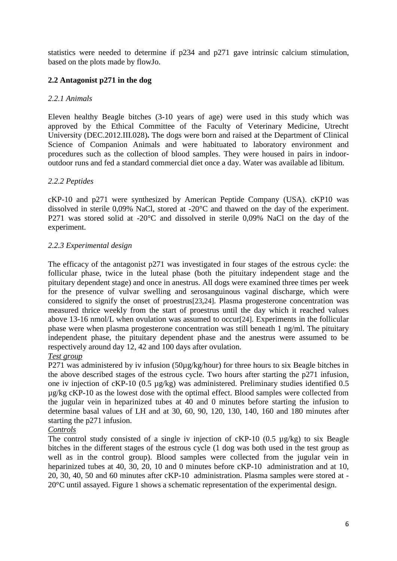statistics were needed to determine if p234 and p271 gave intrinsic calcium stimulation, based on the plots made by flowJo.

# **2.2 Antagonist p271 in the dog**

# *2.2.1 Animals*

Eleven healthy Beagle bitches (3-10 years of age) were used in this study which was approved by the Ethical Committee of the Faculty of Veterinary Medicine, Utrecht University (DEC.2012.III.028)**.** The dogs were born and raised at the Department of Clinical Science of Companion Animals and were habituated to laboratory environment and procedures such as the collection of blood samples. They were housed in pairs in indooroutdoor runs and fed a standard commercial diet once a day. Water was available ad libitum.

# *2.2.2 Peptides*

cKP-10 and p271 were synthesized by American Peptide Company (USA). cKP10 was dissolved in sterile 0,09% NaCl, stored at -20°C and thawed on the day of the experiment. P271 was stored solid at -20°C and dissolved in sterile 0,09% NaCl on the day of the experiment.

# *2.2.3 Experimental design*

The efficacy of the antagonist p271 was investigated in four stages of the estrous cycle: the follicular phase, twice in the luteal phase (both the pituitary independent stage and the pituitary dependent stage) and once in anestrus. All dogs were examined three times per week for the presence of vulvar swelling and serosanguinous vaginal discharge, which were considered to signify the onset of proestrus[23,24]. Plasma progesterone concentration was measured thrice weekly from the start of proestrus until the day which it reached values above 13-16 nmol/L when ovulation was assumed to occur[24]. Experiments in the follicular phase were when plasma progesterone concentration was still beneath 1 ng/ml. The pituitary independent phase, the pituitary dependent phase and the anestrus were assumed to be respectively around day 12, 42 and 100 days after ovulation.

# *Test group*

P271 was administered by iv infusion (50µg/kg/hour) for three hours to six Beagle bitches in the above described stages of the estrous cycle. Two hours after starting the p271 infusion, one iv injection of cKP-10 (0.5 µg/kg) was administered. Preliminary studies identified 0.5 µg/kg cKP-10 as the lowest dose with the optimal effect. Blood samples were collected from the jugular vein in heparinized tubes at 40 and 0 minutes before starting the infusion to determine basal values of LH and at 30, 60, 90, 120, 130, 140, 160 and 180 minutes after starting the p271 infusion.

# *Controls*

The control study consisted of a single iv injection of cKP-10 (0.5 µg/kg) to six Beagle bitches in the different stages of the estrous cycle (1 dog was both used in the test group as well as in the control group). Blood samples were collected from the jugular vein in heparinized tubes at 40, 30, 20, 10 and 0 minutes before cKP-10 administration and at 10, 20, 30, 40, 50 and 60 minutes after cKP-10 administration. Plasma samples were stored at - 20°C until assayed. Figure 1 shows a schematic representation of the experimental design.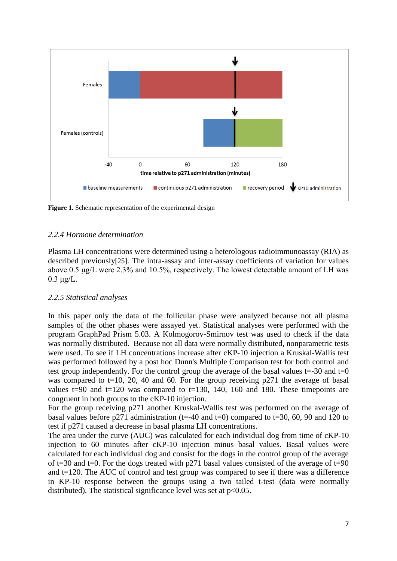

Figure 1. Schematic representation of the experimental design

### *2.2.4 Hormone determination*

Plasma LH concentrations were determined using a heterologous radioimmunoassay (RIA) as described previously[25]. The intra-assay and inter-assay coefficients of variation for values above 0.5 μg/L were 2.3% and 10.5%, respectively. The lowest detectable amount of LH was  $0.3 \mu g/L$ .

#### *2.2.5 Statistical analyses*

In this paper only the data of the follicular phase were analyzed because not all plasma samples of the other phases were assayed yet. Statistical analyses were performed with the program GraphPad Prism 5.03. A Kolmogorov-Smirnov test was used to check if the data was normally distributed. Because not all data were normally distributed, nonparametric tests were used. To see if LH concentrations increase after cKP-10 injection a Kruskal-Wallis test was performed followed by a post hoc Dunn's Multiple Comparison test for both control and test group independently. For the control group the average of the basal values  $t = -30$  and  $t = 0$ was compared to  $t=10$ , 20, 40 and 60. For the group receiving p271 the average of basal values  $t=90$  and  $t=120$  was compared to  $t=130$ , 140, 160 and 180. These timepoints are congruent in both groups to the cKP-10 injection.

For the group receiving p271 another Kruskal-Wallis test was performed on the average of basal values before p271 administration (t=-40 and t=0) compared to t=30, 60, 90 and 120 to test if p271 caused a decrease in basal plasma LH concentrations.

The area under the curve (AUC) was calculated for each individual dog from time of cKP-10 injection to 60 minutes after cKP-10 injection minus basal values. Basal values were calculated for each individual dog and consist for the dogs in the control group of the average of t=30 and t=0. For the dogs treated with p271 basal values consisted of the average of t=90 and t=120. The AUC of control and test group was compared to see if there was a difference in KP-10 response between the groups using a two tailed t-test (data were normally distributed). The statistical significance level was set at  $p<0.05$ .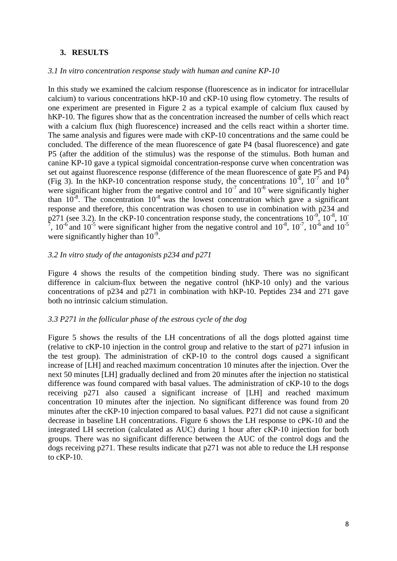#### **3. RESULTS**

#### *3.1 In vitro concentration response study with human and canine KP-10*

In this study we examined the calcium response (fluorescence as in indicator for intracellular calcium) to various concentrations hKP-10 and cKP-10 using flow cytometry. The results of one experiment are presented in Figure 2 as a typical example of calcium flux caused by hKP-10. The figures show that as the concentration increased the number of cells which react with a calcium flux (high fluorescence) increased and the cells react within a shorter time. The same analysis and figures were made with cKP-10 concentrations and the same could be concluded. The difference of the mean fluorescence of gate P4 (basal fluorescence) and gate P5 (after the addition of the stimulus) was the response of the stimulus. Both human and canine KP-10 gave a typical sigmoidal concentration-response curve when concentration was set out against fluorescence response (difference of the mean fluorescence of gate P5 and P4) (Fig 3). In the hKP-10 concentration response study, the concentrations  $10^{-8}$ ,  $10^{-7}$  and  $10^{-6}$ were significant higher from the negative control and  $10^{-7}$  and  $10^{-6}$  were significantly higher than  $10^{-8}$ . The concentration  $10^{-8}$  was the lowest concentration which gave a significant response and therefore, this concentration was chosen to use in combination with p234 and  $p271$  (see 3.2). In the cKP-10 concentration response study, the concentrations  $10^{-9}$ ,  $10^{-8}$ ,  $10^{-8}$  $^7$ , 10<sup>-6</sup> and 10<sup>-5</sup> were significant higher from the negative control and 10<sup>-8</sup>, 10<sup>-7</sup>, 10<sup>-6</sup> and 10<sup>-5</sup> were significantly higher than  $10^{-9}$ .

#### *3.2 In vitro study of the antagonists p234 and p271*

Figure 4 shows the results of the competition binding study. There was no significant difference in calcium-flux between the negative control (hKP-10 only) and the various concentrations of p234 and p271 in combination with hKP-10. Peptides 234 and 271 gave both no intrinsic calcium stimulation.

#### *3.3 P271 in the follicular phase of the estrous cycle of the dog*

Figure 5 shows the results of the LH concentrations of all the dogs plotted against time (relative to cKP-10 injection in the control group and relative to the start of p271 infusion in the test group). The administration of cKP-10 to the control dogs caused a significant increase of [LH] and reached maximum concentration 10 minutes after the injection. Over the next 50 minutes [LH] gradually declined and from 20 minutes after the injection no statistical difference was found compared with basal values. The administration of cKP-10 to the dogs receiving p271 also caused a significant increase of [LH] and reached maximum concentration 10 minutes after the injection. No significant difference was found from 20 minutes after the cKP-10 injection compared to basal values. P271 did not cause a significant decrease in baseline LH concentrations. Figure 6 shows the LH response to cPK-10 and the integrated LH secretion (calculated as AUC) during 1 hour after cKP-10 injection for both groups. There was no significant difference between the AUC of the control dogs and the dogs receiving p271. These results indicate that p271 was not able to reduce the LH response to cKP-10.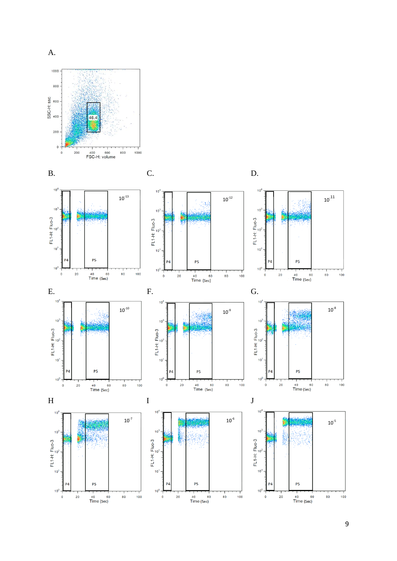

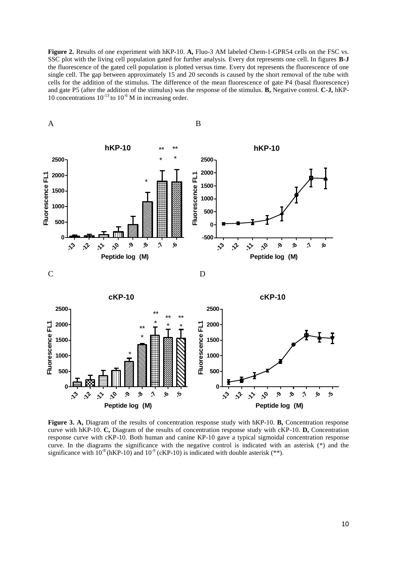**Figure 2.** Results of one experiment with hKP-10. **A,** Fluo-3 AM labeled Chem-1-GPR54 cells on the FSC vs. SSC plot with the living cell population gated for further analysis. Every dot represents one cell. In figures **B-J**  the fluorescence of the gated cell population is plotted versus time. Every dot represents the fluorescence of one single cell. The gap between approximately 15 and 20 seconds is caused by the short removal of the tube with cells for the addition of the stimulus. The difference of the mean fluorescence of gate P4 (basal fluorescence) and gate P5 (after the addition of the stimulus) was the response of the stimulus. **B,** Negative control. **C-J,** hKP-10 concentrations  $10^{-13}$  to  $10^{-6}$  M in increasing order.



**Figure 3. A,** Diagram of the results of concentration response study with hKP-10. **B,** Concentration response curve with hKP-10. **C,** Diagram of the results of concentration response study with cKP-10. **D,** Concentration response curve with cKP-10. Both human and canine KP-10 gave a typical sigmoidal concentration response curve. In the diagrams the significance with the negative control is indicated with an asterisk (\*) and the significance with  $10^{-8}$  (hKP-10) and  $10^{-9}$  (cKP-10) is indicated with double asterisk (\*\*).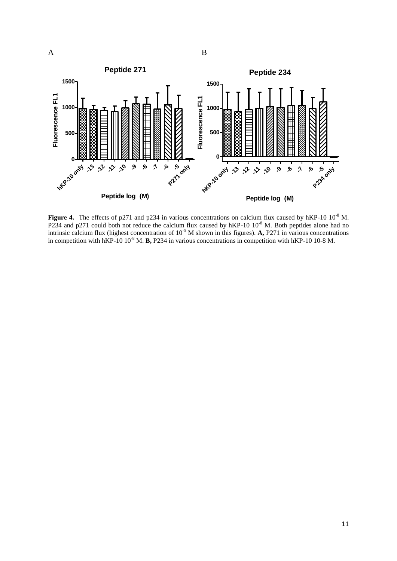

Figure 4. The effects of p271 and p234 in various concentrations on calcium flux caused by hKP-10 10<sup>-8</sup> M. P234 and p271 could both not reduce the calcium flux caused by hKP-10 10<sup>-8</sup> M. Both peptides alone had no intrinsic calcium flux (highest concentration of  $10^{-5}$  M shown in this figures). **A,** P271 in various concentrations in competition with hKP-10 10-8 M. **B,** P234 in various concentrations in competition with hKP-10 10-8 M.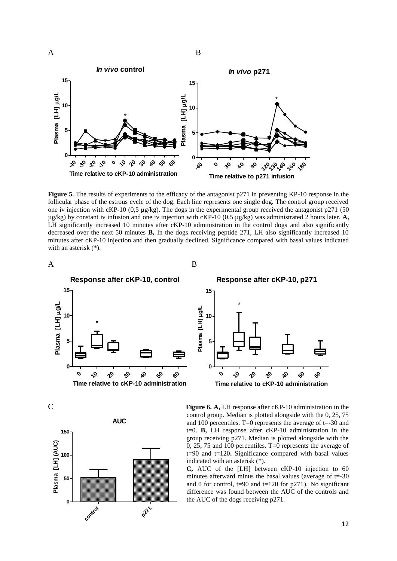

**Figure 5.** The results of experiments to the efficacy of the antagonist p271 in preventing KP-10 response in the follicular phase of the estrous cycle of the dog. Each line represents one single dog. The control group received one iv injection with cKP-10 (0,5 µg/kg). The dogs in the experimental group received the antagonist p271 (50 µg/kg) by constant iv infusion and one iv injection with cKP-10 (0,5 µg/kg) was administrated 2 hours later. **A,**  LH significantly increased 10 minutes after cKP-10 administration in the control dogs and also significantly decreased over the next 50 minutes **B,** In the dogs receiving peptide 271, LH also significantly increased 10 minutes after cKP-10 injection and then gradually declined. Significance compared with basal values indicated with an asterisk (\*).



**Response after cKP-10, p271 15** \* **Plasma [LH] g/L** Plasma [LH] µg/L **10 5 0 010** <mark>የ</mark> **30 40 50 60 Time relative to cKP-10 administration**





C **Figure 6. A,** LH response after cKP-10 administration in the control group. Median is plotted alongside with the 0, 25, 75 and 100 percentiles. T=0 represents the average of t=-30 and t=0. **B,** LH response after cKP-10 administration in the group receiving p271. Median is plotted alongside with the 0, 25, 75 and 100 percentiles. T=0 represents the average of t=90 and t=120**.** Significance compared with basal values indicated with an asterisk (\*).

> **C,** AUC of the [LH] between cKP-10 injection to 60 minutes afterward minus the basal values (average of  $t = -30$ ) and 0 for control,  $t=90$  and  $t=120$  for p271). No significant difference was found between the AUC of the controls and the AUC of the dogs receiving p271.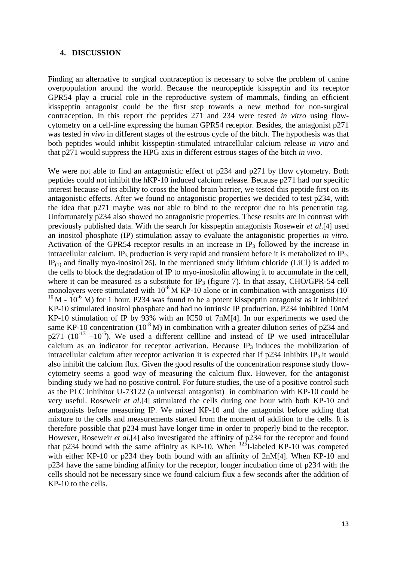#### **4. DISCUSSION**

Finding an alternative to surgical contraception is necessary to solve the problem of canine overpopulation around the world. Because the neuropeptide kisspeptin and its receptor GPR54 play a crucial role in the reproductive system of mammals, finding an efficient kisspeptin antagonist could be the first step towards a new method for non-surgical contraception. In this report the peptides 271 and 234 were tested *in vitro* using flowcytometry on a cell-line expressing the human GPR54 receptor. Besides, the antagonist p271 was tested *in vivo* in different stages of the estrous cycle of the bitch. The hypothesis was that both peptides would inhibit kisspeptin-stimulated intracellular calcium release *in vitro* and that p271 would suppress the HPG axis in different estrous stages of the bitch *in vivo*.

We were not able to find an antagonistic effect of p234 and p271 by flow cytometry. Both peptides could not inhibit the hKP-10 induced calcium release. Because p271 had our specific interest because of its ability to cross the blood brain barrier, we tested this peptide first on its antagonistic effects. After we found no antagonistic properties we decided to test p234, with the idea that p271 maybe was not able to bind to the receptor due to his penetratin tag. Unfortunately p234 also showed no antagonistic properties. These results are in contrast with previously published data. With the search for kisspeptin antagonists Roseweir *et al*.[4] used an inositol phosphate (IP) stimulation assay to evaluate the antagonistic properties *in vitro*. Activation of the GPR54 receptor results in an increase in  $\mathbb{P}_3$  followed by the increase in intracellular calcium. IP<sub>3</sub> production is very rapid and transient before it is metabolized to IP<sub>2</sub>,  $IP_{(1)}$  and finally myo-inositol<sup>[26]</sup>. In the mentioned study lithium chloride (LiCl) is added to the cells to block the degradation of IP to myo-inositolin allowing it to accumulate in the cell, where it can be measured as a substitute for IP<sub>3</sub> (figure 7). In that assay, CHO/GPR-54 cell monolayers were stimulated with  $10^{-8}$  M KP-10 alone or in combination with antagonists (10<sup>-</sup>  $10<sup>10</sup>$  M -  $10<sup>-6</sup>$  M) for 1 hour. P234 was found to be a potent kisspeptin antagonist as it inhibited KP-10 stimulated inositol phosphate and had no intrinsic IP production. P234 inhibited 10nM KP-10 stimulation of IP by 93% with an IC50 of 7nM[4]. In our experiments we used the same KP-10 concentration (10<sup>-8</sup> M) in combination with a greater dilution series of p234 and  $p271$  ( $10^{-13}$  - $10^{-5}$ ). We used a different cellline and instead of IP we used intracellular calcium as an indicator for receptor activation. Because  $IP_3$  induces the mobilization of intracellular calcium after receptor activation it is expected that if  $p234$  inhibits IP<sub>3</sub> it would also inhibit the calcium flux. Given the good results of the concentration response study flowcytometry seems a good way of measuring the calcium flux. However, for the antagonist binding study we had no positive control. For future studies, the use of a positive control such as the PLC inhibitor U-73122 (a universal antagonist) in combination with KP-10 could be very useful. Roseweir *et al*.[4] stimulated the cells during one hour with both KP-10 and antagonists before measuring IP. We mixed KP-10 and the antagonist before adding that mixture to the cells and measurements started from the moment of addition to the cells. It is therefore possible that p234 must have longer time in order to properly bind to the receptor. However, Roseweir *et al.*[4] also investigated the affinity of p234 for the receptor and found that p234 bound with the same affinity as KP-10. When  $^{125}$ I-labeled KP-10 was competed with either KP-10 or p234 they both bound with an affinity of 2nM[4]. When KP-10 and p234 have the same binding affinity for the receptor, longer incubation time of p234 with the cells should not be necessary since we found calcium flux a few seconds after the addition of KP-10 to the cells.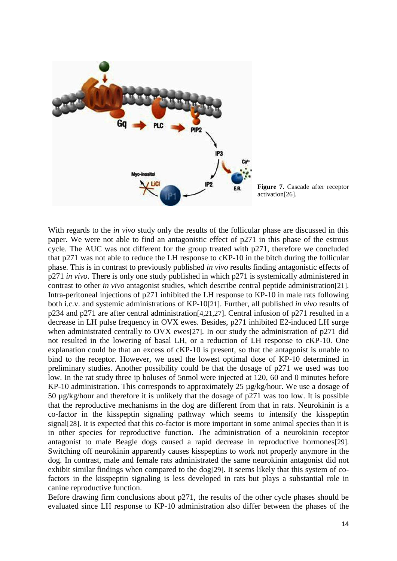



With regards to the *in vivo* study only the results of the follicular phase are discussed in this paper. We were not able to find an antagonistic effect of p271 in this phase of the estrous cycle. The AUC was not different for the group treated with p271, therefore we concluded that p271 was not able to reduce the LH response to cKP-10 in the bitch during the follicular phase. This is in contrast to previously published *in vivo* results finding antagonistic effects of p271 *in vivo*. There is only one study published in which p271 is systemically administered in contrast to other *in vivo* antagonist studies, which describe central peptide administration[21]. Intra-peritoneal injections of p271 inhibited the LH response to KP-10 in male rats following both i.c.v. and systemic administrations of KP-10[21]. Further, all published *in vivo* results of p234 and p271 are after central administration[4,21,27]. Central infusion of p271 resulted in a decrease in LH pulse frequency in OVX ewes. Besides, p271 inhibited E2-induced LH surge when administrated centrally to OVX ewes<sup>[27]</sup>. In our study the administration of p271 did not resulted in the lowering of basal LH, or a reduction of LH response to cKP-10. One explanation could be that an excess of cKP-10 is present, so that the antagonist is unable to bind to the receptor. However, we used the lowest optimal dose of KP-10 determined in preliminary studies. Another possibility could be that the dosage of p271 we used was too low. In the rat study three ip boluses of 5nmol were injected at 120, 60 and 0 minutes before KP-10 administration. This corresponds to approximately 25 µg/kg/hour. We use a dosage of 50 µg/kg/hour and therefore it is unlikely that the dosage of p271 was too low. It is possible that the reproductive mechanisms in the dog are different from that in rats. Neurokinin is a co-factor in the kisspeptin signaling pathway which seems to intensify the kisspeptin signal[28]. It is expected that this co-factor is more important in some animal species than it is in other species for reproductive function. The administration of a neurokinin receptor antagonist to male Beagle dogs caused a rapid decrease in reproductive hormones[29]. Switching off neurokinin apparently causes kisspeptins to work not properly anymore in the dog. In contrast, male and female rats administrated the same neurokinin antagonist did not exhibit similar findings when compared to the dog[29]. It seems likely that this system of cofactors in the kisspeptin signaling is less developed in rats but plays a substantial role in canine reproductive function.

Before drawing firm conclusions about p271, the results of the other cycle phases should be evaluated since LH response to KP-10 administration also differ between the phases of the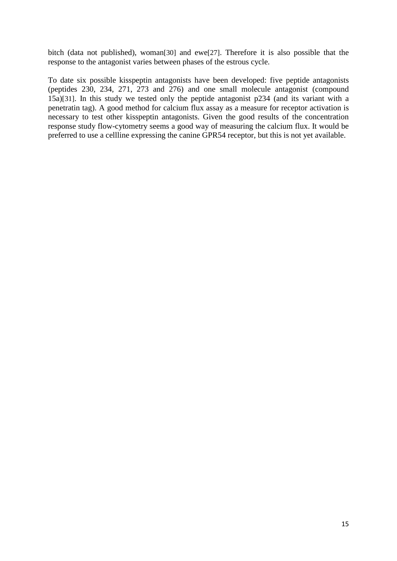bitch (data not published), woman[30] and ewe[27]. Therefore it is also possible that the response to the antagonist varies between phases of the estrous cycle.

To date six possible kisspeptin antagonists have been developed: five peptide antagonists (peptides 230, 234, 271, 273 and 276) and one small molecule antagonist (compound 15a)[31]. In this study we tested only the peptide antagonist p234 (and its variant with a penetratin tag). A good method for calcium flux assay as a measure for receptor activation is necessary to test other kisspeptin antagonists. Given the good results of the concentration response study flow-cytometry seems a good way of measuring the calcium flux. It would be preferred to use a cellline expressing the canine GPR54 receptor, but this is not yet available.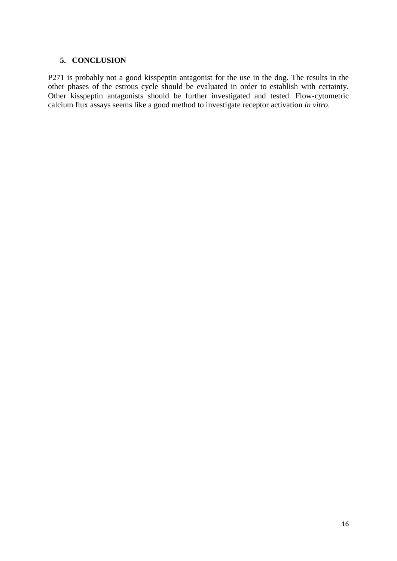## **5. CONCLUSION**

P271 is probably not a good kisspeptin antagonist for the use in the dog. The results in the other phases of the estrous cycle should be evaluated in order to establish with certainty. Other kisspeptin antagonists should be further investigated and tested. Flow-cytometric calcium flux assays seems like a good method to investigate receptor activation *in vitro*.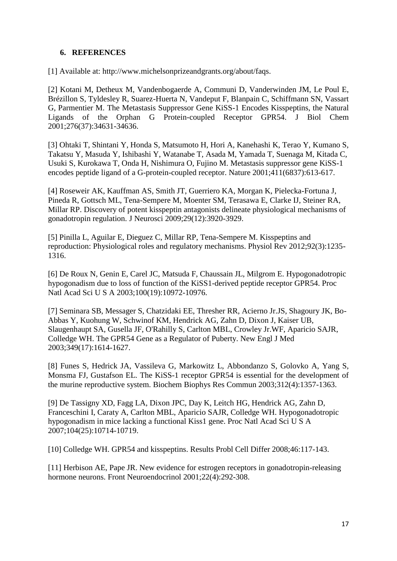# **6. REFERENCES**

[1] Available at: [http://www.michelsonprizeandgrants.org/about/faqs.](http://www.michelsonprizeandgrants.org/about/faqs)

[2] Kotani M, Detheux M, Vandenbogaerde A, Communi D, Vanderwinden JM, Le Poul E, Brézillon S, Tyldesley R, Suarez-Huerta N, Vandeput F, Blanpain C, Schiffmann SN, Vassart G, Parmentier M. The Metastasis Suppressor Gene KiSS-1 Encodes Kisspeptins, the Natural Ligands of the Orphan G Protein-coupled Receptor GPR54. J Biol Chem 2001;276(37):34631-34636.

[3] Ohtaki T, Shintani Y, Honda S, Matsumoto H, Hori A, Kanehashi K, Terao Y, Kumano S, Takatsu Y, Masuda Y, Ishibashi Y, Watanabe T, Asada M, Yamada T, Suenaga M, Kitada C, Usuki S, Kurokawa T, Onda H, Nishimura O, Fujino M. Metastasis suppressor gene KiSS-1 encodes peptide ligand of a G-protein-coupled receptor. Nature 2001;411(6837):613-617.

[4] Roseweir AK, Kauffman AS, Smith JT, Guerriero KA, Morgan K, Pielecka-Fortuna J, Pineda R, Gottsch ML, Tena-Sempere M, Moenter SM, Terasawa E, Clarke IJ, Steiner RA, Millar RP. Discovery of potent kisspeptin antagonists delineate physiological mechanisms of gonadotropin regulation. J Neurosci 2009;29(12):3920-3929.

[5] Pinilla L, Aguilar E, Dieguez C, Millar RP, Tena-Sempere M. Kisspeptins and reproduction: Physiological roles and regulatory mechanisms. Physiol Rev 2012;92(3):1235- 1316.

[6] De Roux N, Genin E, Carel JC, Matsuda F, Chaussain JL, Milgrom E. Hypogonadotropic hypogonadism due to loss of function of the KiSS1-derived peptide receptor GPR54. Proc Natl Acad Sci U S A 2003;100(19):10972-10976.

[7] Seminara SB, Messager S, Chatzidaki EE, Thresher RR, Acierno Jr.JS, Shagoury JK, Bo-Abbas Y, Kuohung W, Schwinof KM, Hendrick AG, Zahn D, Dixon J, Kaiser UB, Slaugenhaupt SA, Gusella JF, O'Rahilly S, Carlton MBL, Crowley Jr.WF, Aparicio SAJR, Colledge WH. The GPR54 Gene as a Regulator of Puberty. New Engl J Med 2003;349(17):1614-1627.

[8] Funes S, Hedrick JA, Vassileva G, Markowitz L, Abbondanzo S, Golovko A, Yang S, Monsma FJ, Gustafson EL. The KiSS-1 receptor GPR54 is essential for the development of the murine reproductive system. Biochem Biophys Res Commun 2003;312(4):1357-1363.

[9] De Tassigny XD, Fagg LA, Dixon JPC, Day K, Leitch HG, Hendrick AG, Zahn D, Franceschini I, Caraty A, Carlton MBL, Aparicio SAJR, Colledge WH. Hypogonadotropic hypogonadism in mice lacking a functional Kiss1 gene. Proc Natl Acad Sci U S A 2007;104(25):10714-10719.

[10] Colledge WH. GPR54 and kisspeptins. Results Probl Cell Differ 2008;46:117-143.

[11] Herbison AE, Pape JR. New evidence for estrogen receptors in gonadotropin-releasing hormone neurons. Front Neuroendocrinol 2001;22(4):292-308.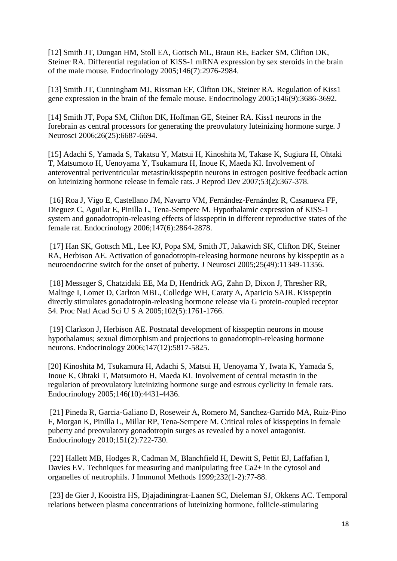[12] Smith JT, Dungan HM, Stoll EA, Gottsch ML, Braun RE, Eacker SM, Clifton DK, Steiner RA. Differential regulation of KiSS-1 mRNA expression by sex steroids in the brain of the male mouse. Endocrinology 2005;146(7):2976-2984.

[13] Smith JT, Cunningham MJ, Rissman EF, Clifton DK, Steiner RA. Regulation of Kiss1 gene expression in the brain of the female mouse. Endocrinology 2005;146(9):3686-3692.

[14] Smith JT, Popa SM, Clifton DK, Hoffman GE, Steiner RA. Kiss1 neurons in the forebrain as central processors for generating the preovulatory luteinizing hormone surge. J Neurosci 2006;26(25):6687-6694.

[15] Adachi S, Yamada S, Takatsu Y, Matsui H, Kinoshita M, Takase K, Sugiura H, Ohtaki T, Matsumoto H, Uenoyama Y, Tsukamura H, Inoue K, Maeda KI. Involvement of anteroventral periventricular metastin/kisspeptin neurons in estrogen positive feedback action on luteinizing hormone release in female rats. J Reprod Dev 2007;53(2):367-378.

[16] Roa J, Vigo E, Castellano JM, Navarro VM, Fernández-Fernández R, Casanueva FF, Dieguez C, Aguilar E, Pinilla L, Tena-Sempere M. Hypothalamic expression of KiSS-1 system and gonadotropin-releasing effects of kisspeptin in different reproductive states of the female rat. Endocrinology 2006;147(6):2864-2878.

[17] Han SK, Gottsch ML, Lee KJ, Popa SM, Smith JT, Jakawich SK, Clifton DK, Steiner RA, Herbison AE. Activation of gonadotropin-releasing hormone neurons by kisspeptin as a neuroendocrine switch for the onset of puberty. J Neurosci 2005;25(49):11349-11356.

[18] Messager S, Chatzidaki EE, Ma D, Hendrick AG, Zahn D, Dixon J, Thresher RR, Malinge I, Lomet D, Carlton MBL, Colledge WH, Caraty A, Aparicio SAJR. Kisspeptin directly stimulates gonadotropin-releasing hormone release via G protein-coupled receptor 54. Proc Natl Acad Sci U S A 2005;102(5):1761-1766.

[19] Clarkson J, Herbison AE. Postnatal development of kisspeptin neurons in mouse hypothalamus; sexual dimorphism and projections to gonadotropin-releasing hormone neurons. Endocrinology 2006;147(12):5817-5825.

[20] Kinoshita M, Tsukamura H, Adachi S, Matsui H, Uenoyama Y, Iwata K, Yamada S, Inoue K, Ohtaki T, Matsumoto H, Maeda KI. Involvement of central metastin in the regulation of preovulatory luteinizing hormone surge and estrous cyclicity in female rats. Endocrinology 2005;146(10):4431-4436.

[21] Pineda R, Garcia-Galiano D, Roseweir A, Romero M, Sanchez-Garrido MA, Ruiz-Pino F, Morgan K, Pinilla L, Millar RP, Tena-Sempere M. Critical roles of kisspeptins in female puberty and preovulatory gonadotropin surges as revealed by a novel antagonist. Endocrinology 2010;151(2):722-730.

[22] Hallett MB, Hodges R, Cadman M, Blanchfield H, Dewitt S, Pettit EJ, Laffafian I, Davies EV. Techniques for measuring and manipulating free Ca2+ in the cytosol and organelles of neutrophils. J Immunol Methods 1999;232(1-2):77-88.

[23] de Gier J, Kooistra HS, Djajadiningrat-Laanen SC, Dieleman SJ, Okkens AC. Temporal relations between plasma concentrations of luteinizing hormone, follicle-stimulating